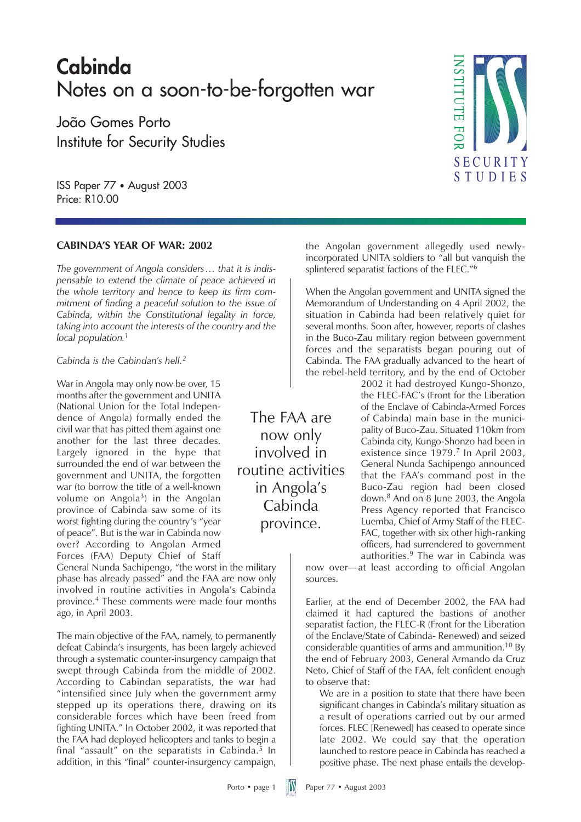### **Cabinda** Notes on a soon-to-be-forgotten war

João Gomes Porto Institute for Security Studies

ISS Paper 77 • August 2003 Price: R10.00

#### **CABINDA'S YEAR OF WAR: 2002**

*The government of Angola considers… that it is indispensable to extend the climate of peace achieved in the whole territory and hence to keep its firm commitment of finding a peaceful solution to the issue of Cabinda, within the Constitutional legality in force, taking into account the interests of the country and the local population.<sup>1</sup>*

#### *Cabinda is the Cabindan's hell.2*

War in Angola may only now be over, 15 months after the government and UNITA (National Union for the Total Independence of Angola) formally ended the civil war that has pitted them against one another for the last three decades. Largely ignored in the hype that surrounded the end of war between the government and UNITA, the forgotten war (to borrow the title of a well-known volume on Angola<sup>3</sup>) in the Angolan province of Cabinda saw some of its worst fighting during the country's "year of peace". But is the war in Cabinda now over? According to Angolan Armed Forces (FAA) Deputy Chief of Staff

General Nunda Sachipengo, "the worst in the military phase has already passed" and the FAA are now only involved in routine activities in Angola's Cabinda province.<sup>4</sup> These comments were made four months ago, in April 2003.

The main objective of the FAA, namely, to permanently defeat Cabinda's insurgents, has been largely achieved through a systematic counter-insurgency campaign that swept through Cabinda from the middle of 2002. According to Cabindan separatists, the war had "intensified since July when the government army stepped up its operations there, drawing on its considerable forces which have been freed from fighting UNITA." In October 2002, it was reported that the FAA had deployed helicopters and tanks to begin a final "assault" on the separatists in Cabinda. $5$  In addition, in this "final" counter-insurgency campaign,

The FAA are now only involved in routine activities in Angola's Cabinda province.



the Angolan government allegedly used newlyincorporated UNITA soldiers to "all but vanquish the splintered separatist factions of the FLEC."6

When the Angolan government and UNITA signed the Memorandum of Understanding on 4 April 2002, the situation in Cabinda had been relatively quiet for several months. Soon after, however, reports of clashes in the Buco-Zau military region between government forces and the separatists began pouring out of Cabinda. The FAA gradually advanced to the heart of the rebel-held territory, and by the end of October

> 2002 it had destroyed Kungo-Shonzo, the FLEC-FAC's (Front for the Liberation of the Enclave of Cabinda-Armed Forces of Cabinda) main base in the municipality of Buco-Zau. Situated 110km from Cabinda city, Kungo-Shonzo had been in existence since 1979.<sup>7</sup> In April 2003, General Nunda Sachipengo announced that the FAA's command post in the Buco-Zau region had been closed down.8 And on 8 June 2003, the Angola Press Agency reported that Francisco Luemba, Chief of Army Staff of the FLEC-FAC, together with six other high-ranking officers, had surrendered to government authorities.<sup>9</sup> The war in Cabinda was

now over—at least according to official Angolan sources.

Earlier, at the end of December 2002, the FAA had claimed it had captured the bastions of another separatist faction, the FLEC-R (Front for the Liberation of the Enclave/State of Cabinda- Renewed) and seized considerable quantities of arms and ammunition.10 By the end of February 2003, General Armando da Cruz Neto, Chief of Staff of the FAA, felt confident enough to observe that:

We are in a position to state that there have been significant changes in Cabinda's military situation as a result of operations carried out by our armed forces. FLEC [Renewed] has ceased to operate since late 2002. We could say that the operation launched to restore peace in Cabinda has reached a positive phase. The next phase entails the develop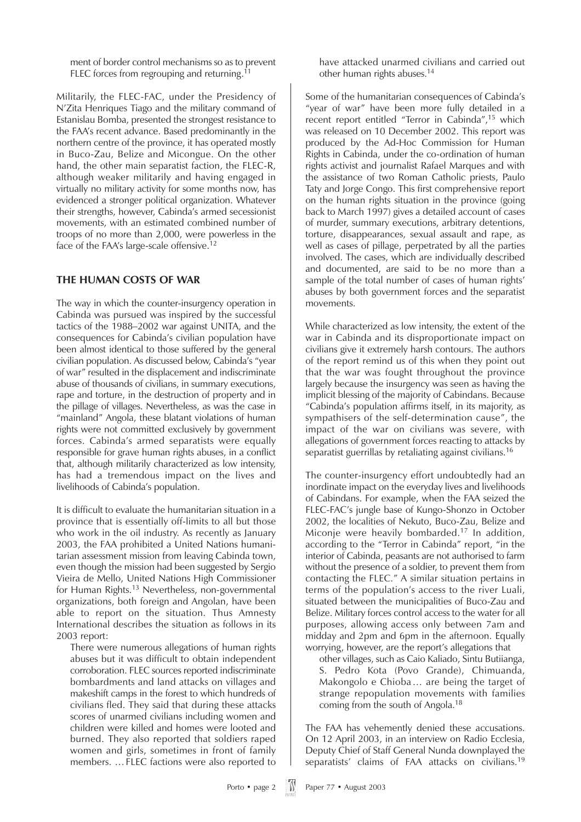ment of border control mechanisms so as to prevent FLEC forces from regrouping and returning.<sup>11</sup>

Militarily, the FLEC-FAC, under the Presidency of N'Zita Henriques Tiago and the military command of Estanislau Bomba, presented the strongest resistance to the FAA's recent advance. Based predominantly in the northern centre of the province, it has operated mostly in Buco-Zau, Belize and Micongue. On the other hand, the other main separatist faction, the FLEC-R, although weaker militarily and having engaged in virtually no military activity for some months now, has evidenced a stronger political organization. Whatever their strengths, however, Cabinda's armed secessionist movements, with an estimated combined number of troops of no more than 2,000, were powerless in the face of the FAA's large-scale offensive.<sup>12</sup>

#### **THE HUMAN COSTS OF WAR**

The way in which the counter-insurgency operation in Cabinda was pursued was inspired by the successful tactics of the 1988–2002 war against UNITA, and the consequences for Cabinda's civilian population have been almost identical to those suffered by the general civilian population. As discussed below, Cabinda's "year of war" resulted in the displacement and indiscriminate abuse of thousands of civilians, in summary executions, rape and torture, in the destruction of property and in the pillage of villages. Nevertheless, as was the case in "mainland" Angola, these blatant violations of human rights were not committed exclusively by government forces. Cabinda's armed separatists were equally responsible for grave human rights abuses, in a conflict that, although militarily characterized as low intensity, has had a tremendous impact on the lives and livelihoods of Cabinda's population.

It is difficult to evaluate the humanitarian situation in a province that is essentially off-limits to all but those who work in the oil industry. As recently as January 2003, the FAA prohibited a United Nations humanitarian assessment mission from leaving Cabinda town, even though the mission had been suggested by Sergio Vieira de Mello, United Nations High Commissioner for Human Rights.13 Nevertheless, non-governmental organizations, both foreign and Angolan, have been able to report on the situation. Thus Amnesty International describes the situation as follows in its 2003 report:

There were numerous allegations of human rights abuses but it was difficult to obtain independent corroboration. FLEC sources reported indiscriminate bombardments and land attacks on villages and makeshift camps in the forest to which hundreds of civilians fled. They said that during these attacks scores of unarmed civilians including women and children were killed and homes were looted and burned. They also reported that soldiers raped women and girls, sometimes in front of family members. …FLEC factions were also reported to

have attacked unarmed civilians and carried out other human rights abuses.14

Some of the humanitarian consequences of Cabinda's "year of war" have been more fully detailed in a recent report entitled "Terror in Cabinda",15 which was released on 10 December 2002. This report was produced by the Ad-Hoc Commission for Human Rights in Cabinda, under the co-ordination of human rights activist and journalist Rafael Marques and with the assistance of two Roman Catholic priests, Paulo Taty and Jorge Congo. This first comprehensive report on the human rights situation in the province (going back to March 1997) gives a detailed account of cases of murder, summary executions, arbitrary detentions, torture, disappearances, sexual assault and rape, as well as cases of pillage, perpetrated by all the parties involved. The cases, which are individually described and documented, are said to be no more than a sample of the total number of cases of human rights' abuses by both government forces and the separatist movements.

While characterized as low intensity, the extent of the war in Cabinda and its disproportionate impact on civilians give it extremely harsh contours. The authors of the report remind us of this when they point out that the war was fought throughout the province largely because the insurgency was seen as having the implicit blessing of the majority of Cabindans. Because "Cabinda's population affirms itself, in its majority, as sympathisers of the self-determination cause", the impact of the war on civilians was severe, with allegations of government forces reacting to attacks by separatist guerrillas by retaliating against civilians.16

The counter-insurgency effort undoubtedly had an inordinate impact on the everyday lives and livelihoods of Cabindans. For example, when the FAA seized the FLEC-FAC's jungle base of Kungo-Shonzo in October 2002, the localities of Nekuto, Buco-Zau, Belize and Miconje were heavily bombarded.<sup>17</sup> In addition, according to the "Terror in Cabinda" report, "in the interior of Cabinda, peasants are not authorised to farm without the presence of a soldier, to prevent them from contacting the FLEC." A similar situation pertains in terms of the population's access to the river Luali, situated between the municipalities of Buco-Zau and Belize. Military forces control access to the water for all purposes, allowing access only between 7am and midday and 2pm and 6pm in the afternoon. Equally worrying, however, are the report's allegations that

other villages, such as Caio Kaliado, Sintu Butiianga, S. Pedro Kota (Povo Grande), Chimuanda, Makongolo e Chioba… are being the target of strange repopulation movements with families coming from the south of Angola.18

The FAA has vehemently denied these accusations. On 12 April 2003, in an interview on Radio Ecclesia, Deputy Chief of Staff General Nunda downplayed the separatists' claims of FAA attacks on civilians.<sup>19</sup>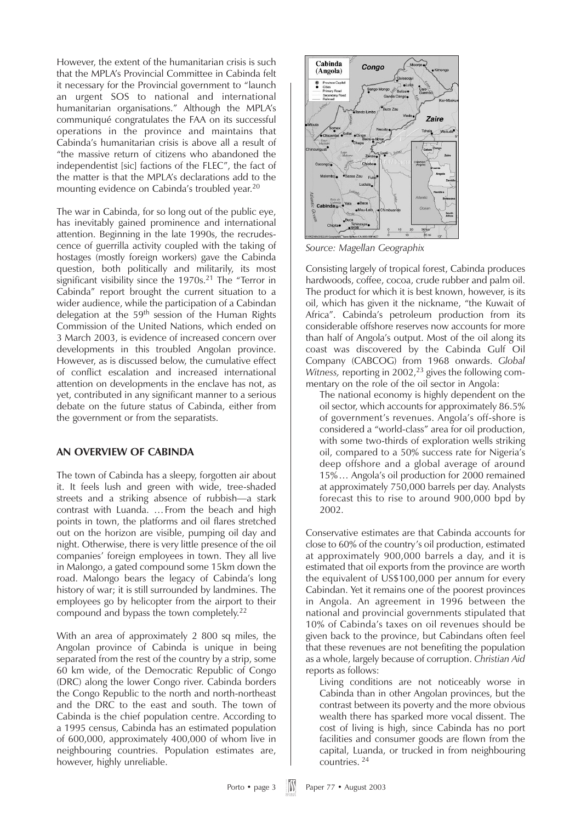However, the extent of the humanitarian crisis is such that the MPLA's Provincial Committee in Cabinda felt it necessary for the Provincial government to "launch an urgent SOS to national and international humanitarian organisations." Although the MPLA's communiqué congratulates the FAA on its successful operations in the province and maintains that Cabinda's humanitarian crisis is above all a result of "the massive return of citizens who abandoned the independentist [sic] factions of the FLEC", the fact of the matter is that the MPLA's declarations add to the mounting evidence on Cabinda's troubled year.20

The war in Cabinda, for so long out of the public eye, has inevitably gained prominence and international attention. Beginning in the late 1990s, the recrudescence of guerrilla activity coupled with the taking of hostages (mostly foreign workers) gave the Cabinda question, both politically and militarily, its most significant visibility since the  $1970s<sup>21</sup>$  The "Terror in Cabinda" report brought the current situation to a wider audience, while the participation of a Cabindan delegation at the  $59<sup>th</sup>$  session of the Human Rights Commission of the United Nations, which ended on 3 March 2003, is evidence of increased concern over developments in this troubled Angolan province. However, as is discussed below, the cumulative effect of conflict escalation and increased international attention on developments in the enclave has not, as yet, contributed in any significant manner to a serious debate on the future status of Cabinda, either from the government or from the separatists.

#### **AN OVERVIEW OF CABINDA**

The town of Cabinda has a sleepy, forgotten air about it. It feels lush and green with wide, tree-shaded streets and a striking absence of rubbish—a stark contrast with Luanda. …From the beach and high points in town, the platforms and oil flares stretched out on the horizon are visible, pumping oil day and night. Otherwise, there is very little presence of the oil companies' foreign employees in town. They all live in Malongo, a gated compound some 15km down the road. Malongo bears the legacy of Cabinda's long history of war; it is still surrounded by landmines. The employees go by helicopter from the airport to their compound and bypass the town completely.22

With an area of approximately 2 800 sq miles, the Angolan province of Cabinda is unique in being separated from the rest of the country by a strip, some 60 km wide, of the Democratic Republic of Congo (DRC) along the lower Congo river. Cabinda borders the Congo Republic to the north and north-northeast and the DRC to the east and south. The town of Cabinda is the chief population centre. According to a 1995 census, Cabinda has an estimated population of 600,000, approximately 400,000 of whom live in neighbouring countries. Population estimates are, however, highly unreliable.



*Source: Magellan Geographix*

Consisting largely of tropical forest, Cabinda produces hardwoods, coffee, cocoa, crude rubber and palm oil. The product for which it is best known, however, is its oil, which has given it the nickname, "the Kuwait of Africa". Cabinda's petroleum production from its considerable offshore reserves now accounts for more than half of Angola's output. Most of the oil along its coast was discovered by the Cabinda Gulf Oil Company (CABCOG) from 1968 onwards. *Global Witness, reporting in 2002,<sup>23</sup> gives the following com*mentary on the role of the oil sector in Angola:

The national economy is highly dependent on the oil sector, which accounts for approximately 86.5% of government's revenues. Angola's off-shore is considered a "world-class" area for oil production, with some two-thirds of exploration wells striking oil, compared to a 50% success rate for Nigeria's deep offshore and a global average of around 15%… Angola's oil production for 2000 remained at approximately 750,000 barrels per day. Analysts forecast this to rise to around 900,000 bpd by 2002.

Conservative estimates are that Cabinda accounts for close to 60% of the country's oil production, estimated at approximately 900,000 barrels a day, and it is estimated that oil exports from the province are worth the equivalent of US\$100,000 per annum for every Cabindan. Yet it remains one of the poorest provinces in Angola. An agreement in 1996 between the national and provincial governments stipulated that 10% of Cabinda's taxes on oil revenues should be given back to the province, but Cabindans often feel that these revenues are not benefiting the population as a whole, largely because of corruption. *Christian Aid* reports as follows:

Living conditions are not noticeably worse in Cabinda than in other Angolan provinces, but the contrast between its poverty and the more obvious wealth there has sparked more vocal dissent. The cost of living is high, since Cabinda has no port facilities and consumer goods are flown from the capital, Luanda, or trucked in from neighbouring countries. <sup>24</sup>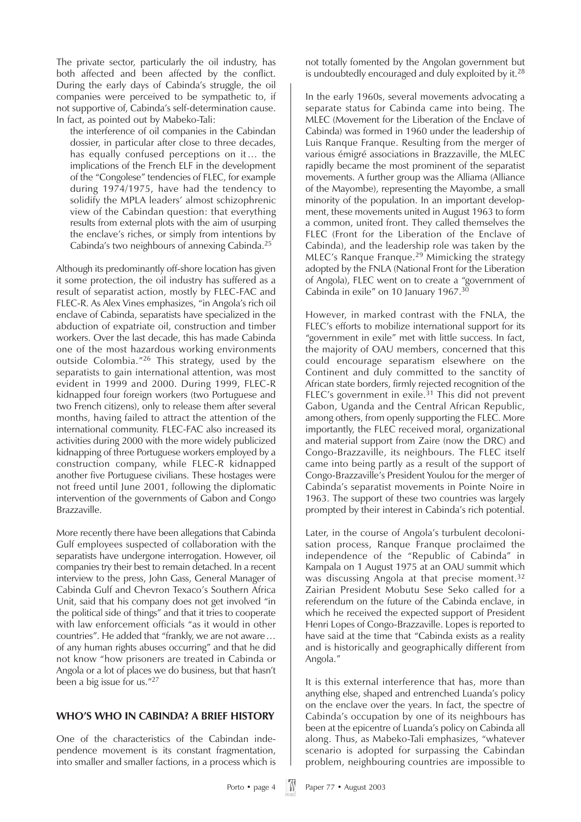The private sector, particularly the oil industry, has both affected and been affected by the conflict. During the early days of Cabinda's struggle, the oil companies were perceived to be sympathetic to, if not supportive of, Cabinda's self-determination cause. In fact, as pointed out by Mabeko-Tali:

the interference of oil companies in the Cabindan dossier, in particular after close to three decades, has equally confused perceptions on it… the implications of the French ELF in the development of the "Congolese" tendencies of FLEC, for example during 1974/1975, have had the tendency to solidify the MPLA leaders' almost schizophrenic view of the Cabindan question: that everything results from external plots with the aim of usurping the enclave's riches, or simply from intentions by Cabinda's two neighbours of annexing Cabinda.25

Although its predominantly off-shore location has given it some protection, the oil industry has suffered as a result of separatist action, mostly by FLEC-FAC and FLEC-R. As Alex Vines emphasizes, "in Angola's rich oil enclave of Cabinda, separatists have specialized in the abduction of expatriate oil, construction and timber workers. Over the last decade, this has made Cabinda one of the most hazardous working environments outside Colombia."<sup>26</sup> This strategy, used by the separatists to gain international attention, was most evident in 1999 and 2000. During 1999, FLEC-R kidnapped four foreign workers (two Portuguese and two French citizens), only to release them after several months, having failed to attract the attention of the international community. FLEC-FAC also increased its activities during 2000 with the more widely publicized kidnapping of three Portuguese workers employed by a construction company, while FLEC-R kidnapped another five Portuguese civilians. These hostages were not freed until June 2001, following the diplomatic intervention of the governments of Gabon and Congo Brazzaville.

More recently there have been allegations that Cabinda Gulf employees suspected of collaboration with the separatists have undergone interrogation. However, oil companies try their best to remain detached. In a recent interview to the press, John Gass, General Manager of Cabinda Gulf and Chevron Texaco's Southern Africa Unit, said that his company does not get involved "in the political side of things" and that it tries to cooperate with law enforcement officials "as it would in other countries". He added that "frankly, we are not aware… of any human rights abuses occurring" and that he did not know "how prisoners are treated in Cabinda or Angola or a lot of places we do business, but that hasn't been a big issue for us."27

#### **WHO'S WHO IN CABINDA? A BRIEF HISTORY**

One of the characteristics of the Cabindan independence movement is its constant fragmentation, into smaller and smaller factions, in a process which is not totally fomented by the Angolan government but is undoubtedly encouraged and duly exploited by it.<sup>28</sup>

In the early 1960s, several movements advocating a separate status for Cabinda came into being. The MLEC (Movement for the Liberation of the Enclave of Cabinda) was formed in 1960 under the leadership of Luis Ranque Franque. Resulting from the merger of various émigré associations in Brazzaville, the MLEC rapidly became the most prominent of the separatist movements. A further group was the Alliama (Alliance of the Mayombe), representing the Mayombe, a small minority of the population. In an important development, these movements united in August 1963 to form a common, united front. They called themselves the FLEC (Front for the Liberation of the Enclave of Cabinda), and the leadership role was taken by the MLEC's Ranque Franque.<sup>29</sup> Mimicking the strategy adopted by the FNLA (National Front for the Liberation of Angola), FLEC went on to create a "government of Cabinda in exile" on 10 January 1967.30

However, in marked contrast with the FNLA, the FLEC's efforts to mobilize international support for its "government in exile" met with little success. In fact, the majority of OAU members, concerned that this could encourage separatism elsewhere on the Continent and duly committed to the sanctity of African state borders, firmly rejected recognition of the FLEC's government in exile.<sup>31</sup> This did not prevent Gabon, Uganda and the Central African Republic, among others, from openly supporting the FLEC. More importantly, the FLEC received moral, organizational and material support from Zaire (now the DRC) and Congo-Brazzaville, its neighbours. The FLEC itself came into being partly as a result of the support of Congo-Brazzaville's President Youlou for the merger of Cabinda's separatist movements in Pointe Noire in 1963. The support of these two countries was largely prompted by their interest in Cabinda's rich potential.

Later, in the course of Angola's turbulent decolonisation process, Ranque Franque proclaimed the independence of the "Republic of Cabinda" in Kampala on 1 August 1975 at an OAU summit which was discussing Angola at that precise moment.<sup>32</sup> Zairian President Mobutu Sese Seko called for a referendum on the future of the Cabinda enclave, in which he received the expected support of President Henri Lopes of Congo-Brazzaville. Lopes is reported to have said at the time that "Cabinda exists as a reality and is historically and geographically different from Angola."

It is this external interference that has, more than anything else, shaped and entrenched Luanda's policy on the enclave over the years. In fact, the spectre of Cabinda's occupation by one of its neighbours has been at the epicentre of Luanda's policy on Cabinda all along. Thus, as Mabeko-Tali emphasizes, "whatever scenario is adopted for surpassing the Cabindan problem, neighbouring countries are impossible to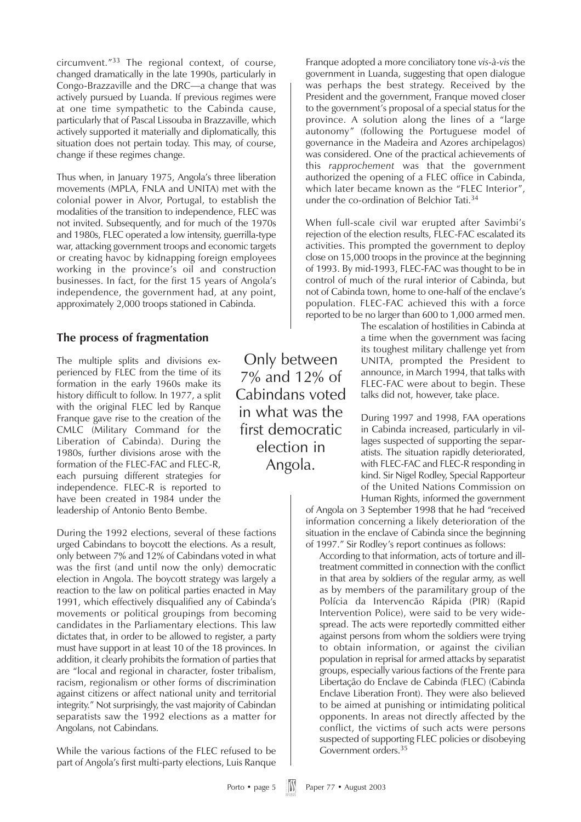circumvent."<sup>33</sup> The regional context, of course, changed dramatically in the late 1990s, particularly in Congo-Brazzaville and the DRC—a change that was actively pursued by Luanda. If previous regimes were at one time sympathetic to the Cabinda cause, particularly that of Pascal Lissouba in Brazzaville, which actively supported it materially and diplomatically, this situation does not pertain today. This may, of course, change if these regimes change.

Thus when, in January 1975, Angola's three liberation movements (MPLA, FNLA and UNITA) met with the colonial power in Alvor, Portugal, to establish the modalities of the transition to independence, FLEC was not invited. Subsequently, and for much of the 1970s and 1980s, FLEC operated a low intensity, guerrilla-type war, attacking government troops and economic targets or creating havoc by kidnapping foreign employees working in the province's oil and construction businesses. In fact, for the first 15 years of Angola's independence, the government had, at any point, approximately 2,000 troops stationed in Cabinda.

### **The process of fragmentation**

The multiple splits and divisions experienced by FLEC from the time of its formation in the early 1960s make its history difficult to follow. In 1977, a split with the original FLEC led by Ranque Franque gave rise to the creation of the CMLC (Military Command for the Liberation of Cabinda). During the 1980s, further divisions arose with the formation of the FLEC-FAC and FLEC-R, each pursuing different strategies for independence. FLEC-R is reported to have been created in 1984 under the leadership of Antonio Bento Bembe.

During the 1992 elections, several of these factions urged Cabindans to boycott the elections. As a result, only between 7% and 12% of Cabindans voted in what was the first (and until now the only) democratic election in Angola. The boycott strategy was largely a reaction to the law on political parties enacted in May 1991, which effectively disqualified any of Cabinda's movements or political groupings from becoming candidates in the Parliamentary elections. This law dictates that, in order to be allowed to register, a party must have support in at least 10 of the 18 provinces. In addition, it clearly prohibits the formation of parties that are "local and regional in character, foster tribalism, racism, regionalism or other forms of discrimination against citizens or affect national unity and territorial integrity." Not surprisingly, the vast majority of Cabindan separatists saw the 1992 elections as a matter for Angolans, not Cabindans.

While the various factions of the FLEC refused to be part of Angola's first multi-party elections, Luis Ranque

Only between 7% and 12% of Cabindans voted in what was the first democratic election in Angola.

Franque adopted a more conciliatory tone *vis-à-vis* the government in Luanda, suggesting that open dialogue was perhaps the best strategy. Received by the President and the government, Franque moved closer to the government's proposal of a special status for the province. A solution along the lines of a "large autonomy" (following the Portuguese model of governance in the Madeira and Azores archipelagos) was considered. One of the practical achievements of this *rapprochement* was that the government authorized the opening of a FLEC office in Cabinda, which later became known as the "FLEC Interior", under the co-ordination of Belchior Tati.34

When full-scale civil war erupted after Savimbi's rejection of the election results, FLEC-FAC escalated its activities. This prompted the government to deploy close on 15,000 troops in the province at the beginning of 1993. By mid-1993, FLEC-FAC was thought to be in control of much of the rural interior of Cabinda, but not of Cabinda town, home to one-half of the enclave's population. FLEC-FAC achieved this with a force reported to be no larger than 600 to 1,000 armed men.

The escalation of hostilities in Cabinda at a time when the government was facing its toughest military challenge yet from UNITA, prompted the President to announce, in March 1994, that talks with FLEC-FAC were about to begin. These talks did not, however, take place.

During 1997 and 1998, FAA operations in Cabinda increased, particularly in villages suspected of supporting the separatists. The situation rapidly deteriorated, with FLEC-FAC and FLEC-R responding in kind. Sir Nigel Rodley, Special Rapporteur of the United Nations Commission on Human Rights, informed the government

of Angola on 3 September 1998 that he had "received information concerning a likely deterioration of the situation in the enclave of Cabinda since the beginning of 1997." Sir Rodley's report continues as follows:

According to that information, acts of torture and illtreatment committed in connection with the conflict in that area by soldiers of the regular army, as well as by members of the paramilitary group of the Polícia da Intervencão Rápida (PIR) (Rapid Intervention Police), were said to be very widespread. The acts were reportedly committed either against persons from whom the soldiers were trying to obtain information, or against the civilian population in reprisal for armed attacks by separatist groups, especially various factions of the Frente para Libertação do Enclave de Cabinda (FLEC) (Cabinda Enclave Liberation Front). They were also believed to be aimed at punishing or intimidating political opponents. In areas not directly affected by the conflict, the victims of such acts were persons suspected of supporting FLEC policies or disobeying Government orders.35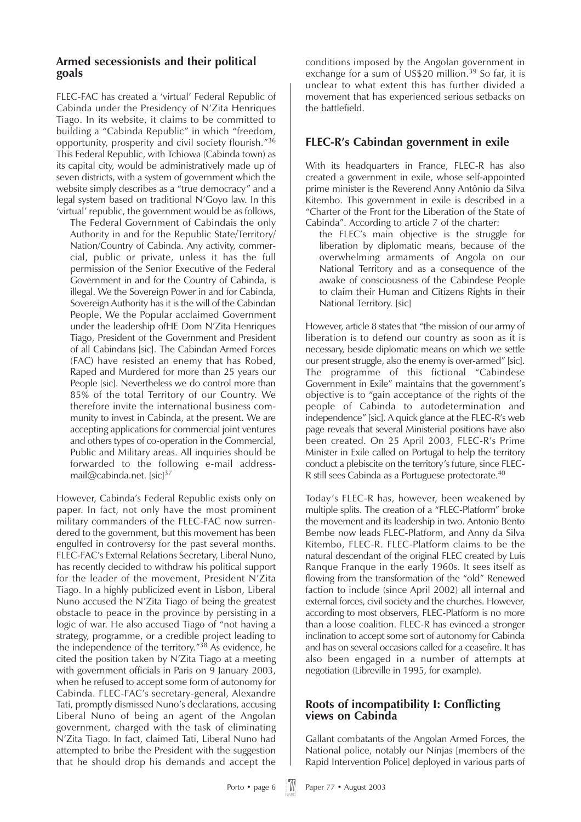#### **Armed secessionists and their political goals**

FLEC-FAC has created a 'virtual' Federal Republic of Cabinda under the Presidency of N'Zita Henriques Tiago. In its website, it claims to be committed to building a "Cabinda Republic" in which "freedom, opportunity, prosperity and civil society flourish."<sup>36</sup> This Federal Republic, with Tchiowa (Cabinda town) as its capital city, would be administratively made up of seven districts, with a system of government which the website simply describes as a "true democracy" and a legal system based on traditional N'Goyo law. In this 'virtual' republic, the government would be as follows,

The Federal Government of Cabindais the only Authority in and for the Republic State/Territory/ Nation/Country of Cabinda. Any activity, commercial, public or private, unless it has the full permission of the Senior Executive of the Federal Government in and for the Country of Cabinda, is illegal. We the Sovereign Power in and for Cabinda, Sovereign Authority has it is the will of the Cabindan People, We the Popular acclaimed Government under the leadership ofHE Dom N'Zita Henriques Tiago, President of the Government and President of all Cabindans [sic]. The Cabindan Armed Forces (FAC) have resisted an enemy that has Robed, Raped and Murdered for more than 25 years our People [sic]. Nevertheless we do control more than 85% of the total Territory of our Country. We therefore invite the international business community to invest in Cabinda, at the present. We are accepting applications for commercial joint ventures and others types of co-operation in the Commercial, Public and Military areas. All inquiries should be forwarded to the following e-mail addressmail@cabinda.net. [sic]<sup>37</sup>

However, Cabinda's Federal Republic exists only on paper. In fact, not only have the most prominent military commanders of the FLEC-FAC now surrendered to the government, but this movement has been engulfed in controversy for the past several months. FLEC-FAC's External Relations Secretary, Liberal Nuno, has recently decided to withdraw his political support for the leader of the movement, President N'Zita Tiago. In a highly publicized event in Lisbon, Liberal Nuno accused the N'Zita Tiago of being the greatest obstacle to peace in the province by persisting in a logic of war. He also accused Tiago of "not having a strategy, programme, or a credible project leading to the independence of the territory."38 As evidence, he cited the position taken by N'Zita Tiago at a meeting with government officials in Paris on 9 January 2003, when he refused to accept some form of autonomy for Cabinda. FLEC-FAC's secretary-general, Alexandre Tati, promptly dismissed Nuno's declarations, accusing Liberal Nuno of being an agent of the Angolan government, charged with the task of eliminating N'Zita Tiago. In fact, claimed Tati, Liberal Nuno had attempted to bribe the President with the suggestion that he should drop his demands and accept the

conditions imposed by the Angolan government in exchange for a sum of US\$20 million.<sup>39</sup> So far, it is unclear to what extent this has further divided a movement that has experienced serious setbacks on the battlefield.

### **FLEC-R's Cabindan government in exile**

With its headquarters in France, FLEC-R has also created a government in exile, whose self-appointed prime minister is the Reverend Anny Antônio da Silva Kitembo. This government in exile is described in a "Charter of the Front for the Liberation of the State of Cabinda". According to article 7 of the charter:

the FLEC's main objective is the struggle for liberation by diplomatic means, because of the overwhelming armaments of Angola on our National Territory and as a consequence of the awake of consciousness of the Cabindese People to claim their Human and Citizens Rights in their National Territory. [sic]

However, article 8 states that "the mission of our army of liberation is to defend our country as soon as it is necessary, beside diplomatic means on which we settle our present struggle, also the enemy is over-armed" [sic]. The programme of this fictional "Cabindese Government in Exile" maintains that the government's objective is to "gain acceptance of the rights of the people of Cabinda to autodetermination and independence" [sic]. A quick glance at the FLEC-R's web page reveals that several Ministerial positions have also been created. On 25 April 2003, FLEC-R's Prime Minister in Exile called on Portugal to help the territory conduct a plebiscite on the territory's future, since FLEC-R still sees Cabinda as a Portuguese protectorate.40

Today's FLEC-R has, however, been weakened by multiple splits. The creation of a "FLEC-Platform" broke the movement and its leadership in two. Antonio Bento Bembe now leads FLEC-Platform, and Anny da Silva Kitembo, FLEC-R. FLEC-Platform claims to be the natural descendant of the original FLEC created by Luis Ranque Franque in the early 1960s. It sees itself as flowing from the transformation of the "old" Renewed faction to include (since April 2002) all internal and external forces, civil society and the churches. However, according to most observers, FLEC-Platform is no more than a loose coalition. FLEC-R has evinced a stronger inclination to accept some sort of autonomy for Cabinda and has on several occasions called for a ceasefire. It has also been engaged in a number of attempts at negotiation (Libreville in 1995, for example).

#### **Roots of incompatibility I: Conflicting views on Cabinda**

Gallant combatants of the Angolan Armed Forces, the National police, notably our Ninjas [members of the Rapid Intervention Police] deployed in various parts of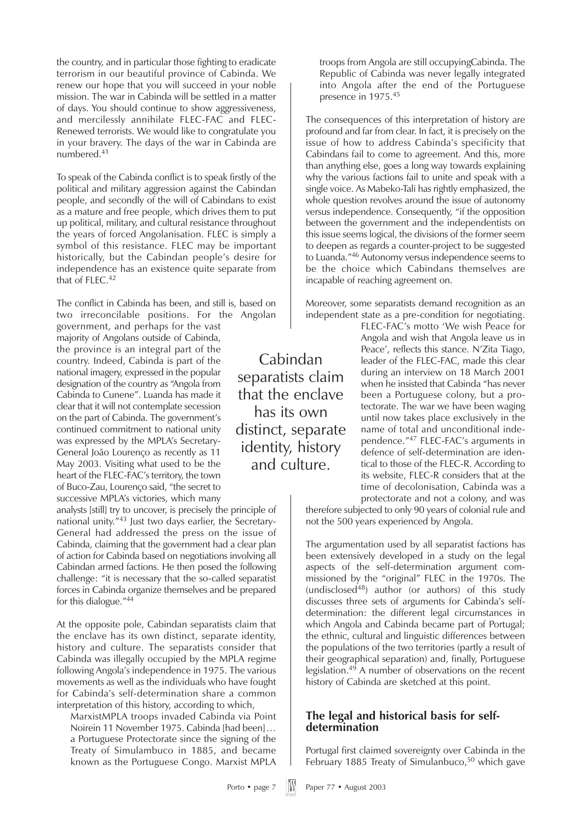the country, and in particular those fighting to eradicate terrorism in our beautiful province of Cabinda. We renew our hope that you will succeed in your noble mission. The war in Cabinda will be settled in a matter of days. You should continue to show aggressiveness, and mercilessly annihilate FLEC-FAC and FLEC-Renewed terrorists. We would like to congratulate you in your bravery. The days of the war in Cabinda are numbered.41

To speak of the Cabinda conflict is to speak firstly of the political and military aggression against the Cabindan people, and secondly of the will of Cabindans to exist as a mature and free people, which drives them to put up political, military, and cultural resistance throughout the years of forced Angolanisation. FLEC is simply a symbol of this resistance. FLEC may be important historically, but the Cabindan people's desire for independence has an existence quite separate from that of FLEC.<sup>42</sup>

The conflict in Cabinda has been, and still is, based on two irreconcilable positions. For the Angolan

government, and perhaps for the vast majority of Angolans outside of Cabinda, the province is an integral part of the country. Indeed, Cabinda is part of the national imagery, expressed in the popular designation of the country as "Angola from Cabinda to Cunene". Luanda has made it clear that it will not contemplate secession on the part of Cabinda. The government's continued commitment to national unity was expressed by the MPLA's Secretary-General João Lourenço as recently as 11 May 2003. Visiting what used to be the heart of the FLEC-FAC's territory, the town of Buco-Zau, Lourenço said, "the secret to successive MPLA's victories, which many

analysts [still] try to uncover, is precisely the principle of national unity."<sup>43</sup> Just two days earlier, the Secretary-General had addressed the press on the issue of Cabinda, claiming that the government had a clear plan of action for Cabinda based on negotiations involving all Cabindan armed factions. He then posed the following challenge: "it is necessary that the so-called separatist forces in Cabinda organize themselves and be prepared for this dialogue."44

At the opposite pole, Cabindan separatists claim that the enclave has its own distinct, separate identity, history and culture. The separatists consider that Cabinda was illegally occupied by the MPLA regime following Angola's independence in 1975. The various movements as well as the individuals who have fought for Cabinda's self-determination share a common interpretation of this history, according to which,

MarxistMPLA troops invaded Cabinda via Point Noirein 11 November 1975. Cabinda [had been]… a Portuguese Protectorate since the signing of the Treaty of Simulambuco in 1885, and became known as the Portuguese Congo. Marxist MPLA

Cabindan separatists claim that the enclave has its own distinct, separate identity, history and culture.

troops from Angola are still occupyingCabinda. The Republic of Cabinda was never legally integrated into Angola after the end of the Portuguese presence in 1975.45

The consequences of this interpretation of history are profound and far from clear. In fact, it is precisely on the issue of how to address Cabinda's specificity that Cabindans fail to come to agreement. And this, more than anything else, goes a long way towards explaining why the various factions fail to unite and speak with a single voice. As Mabeko-Tali has rightly emphasized, the whole question revolves around the issue of autonomy versus independence. Consequently, "if the opposition between the government and the independentists on this issue seems logical, the divisions of the former seem to deepen as regards a counter-project to be suggested to Luanda."46 Autonomy versus independence seems to be the choice which Cabindans themselves are incapable of reaching agreement on.

Moreover, some separatists demand recognition as an independent state as a pre-condition for negotiating.

> FLEC-FAC's motto 'We wish Peace for Angola and wish that Angola leave us in Peace', reflects this stance. N'Zita Tiago, leader of the FLEC-FAC, made this clear during an interview on 18 March 2001 when he insisted that Cabinda "has never been a Portuguese colony, but a protectorate. The war we have been waging until now takes place exclusively in the name of total and unconditional independence."<sup>47</sup> FLEC-FAC's arguments in defence of self-determination are identical to those of the FLEC-R. According to its website, FLEC-R considers that at the time of decolonisation, Cabinda was a protectorate and not a colony, and was

therefore subjected to only 90 years of colonial rule and not the 500 years experienced by Angola.

The argumentation used by all separatist factions has been extensively developed in a study on the legal aspects of the self-determination argument commissioned by the "original" FLEC in the 1970s. The  $(undisclosed<sup>48</sup>)$  author (or authors) of this study discusses three sets of arguments for Cabinda's selfdetermination: the different legal circumstances in which Angola and Cabinda became part of Portugal; the ethnic, cultural and linguistic differences between the populations of the two territories (partly a result of their geographical separation) and, finally, Portuguese legislation.49 A number of observations on the recent history of Cabinda are sketched at this point.

#### **The legal and historical basis for selfdetermination**

Portugal first claimed sovereignty over Cabinda in the February 1885 Treaty of Simulanbuco,<sup>50</sup> which gave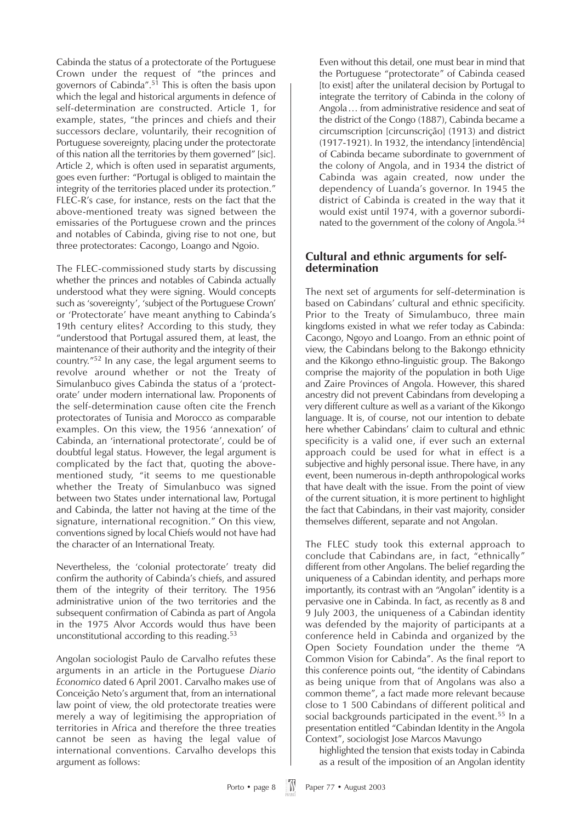Cabinda the status of a protectorate of the Portuguese Crown under the request of "the princes and governors of Cabinda".<sup>51</sup> This is often the basis upon which the legal and historical arguments in defence of self-determination are constructed. Article 1, for example, states, "the princes and chiefs and their successors declare, voluntarily, their recognition of Portuguese sovereignty, placing under the protectorate of this nation all the territories by them governed" [sic]. Article 2, which is often used in separatist arguments, goes even further: "Portugal is obliged to maintain the integrity of the territories placed under its protection." FLEC-R's case, for instance, rests on the fact that the above-mentioned treaty was signed between the emissaries of the Portuguese crown and the princes and notables of Cabinda, giving rise to not one, but three protectorates: Cacongo, Loango and Ngoio.

The FLEC-commissioned study starts by discussing whether the princes and notables of Cabinda actually understood what they were signing. Would concepts such as 'sovereignty', 'subject of the Portuguese Crown' or 'Protectorate' have meant anything to Cabinda's 19th century elites? According to this study, they "understood that Portugal assured them, at least, the maintenance of their authority and the integrity of their country."<sup>52</sup> In any case, the legal argument seems to revolve around whether or not the Treaty of Simulanbuco gives Cabinda the status of a 'protectorate' under modern international law. Proponents of the self-determination cause often cite the French protectorates of Tunisia and Morocco as comparable examples. On this view, the 1956 'annexation' of Cabinda, an 'international protectorate', could be of doubtful legal status. However, the legal argument is complicated by the fact that, quoting the abovementioned study, "it seems to me questionable whether the Treaty of Simulanbuco was signed between two States under international law, Portugal and Cabinda, the latter not having at the time of the signature, international recognition." On this view, conventions signed by local Chiefs would not have had the character of an International Treaty.

Nevertheless, the 'colonial protectorate' treaty did confirm the authority of Cabinda's chiefs, and assured them of the integrity of their territory. The 1956 administrative union of the two territories and the subsequent confirmation of Cabinda as part of Angola in the 1975 Alvor Accords would thus have been unconstitutional according to this reading.53

Angolan sociologist Paulo de Carvalho refutes these arguments in an article in the Portuguese *Diario Economico* dated 6 April 2001. Carvalho makes use of Conceição Neto's argument that, from an international law point of view, the old protectorate treaties were merely a way of legitimising the appropriation of territories in Africa and therefore the three treaties cannot be seen as having the legal value of international conventions. Carvalho develops this argument as follows:

Even without this detail, one must bear in mind that the Portuguese "protectorate" of Cabinda ceased [to exist] after the unilateral decision by Portugal to integrate the territory of Cabinda in the colony of Angola… from administrative residence and seat of the district of the Congo (1887), Cabinda became a circumscription [circunscrição] (1913) and district (1917-1921). In 1932, the intendancy [intendência] of Cabinda became subordinate to government of the colony of Angola, and in 1934 the district of Cabinda was again created, now under the dependency of Luanda's governor. In 1945 the district of Cabinda is created in the way that it would exist until 1974, with a governor subordinated to the government of the colony of Angola.<sup>54</sup>

#### **Cultural and ethnic arguments for selfdetermination**

The next set of arguments for self-determination is based on Cabindans' cultural and ethnic specificity. Prior to the Treaty of Simulambuco, three main kingdoms existed in what we refer today as Cabinda: Cacongo, Ngoyo and Loango. From an ethnic point of view, the Cabindans belong to the Bakongo ethnicity and the Kikongo ethno-linguistic group. The Bakongo comprise the majority of the population in both Uige and Zaire Provinces of Angola. However, this shared ancestry did not prevent Cabindans from developing a very different culture as well as a variant of the Kikongo language. It is, of course, not our intention to debate here whether Cabindans' claim to cultural and ethnic specificity is a valid one, if ever such an external approach could be used for what in effect is a subjective and highly personal issue. There have, in any event, been numerous in-depth anthropological works that have dealt with the issue. From the point of view of the current situation, it is more pertinent to highlight the fact that Cabindans, in their vast majority, consider themselves different, separate and not Angolan.

The FLEC study took this external approach to conclude that Cabindans are, in fact, "ethnically" different from other Angolans. The belief regarding the uniqueness of a Cabindan identity, and perhaps more importantly, its contrast with an "Angolan" identity is a pervasive one in Cabinda. In fact, as recently as 8 and 9 July 2003, the uniqueness of a Cabindan identity was defended by the majority of participants at a conference held in Cabinda and organized by the Open Society Foundation under the theme "A Common Vision for Cabinda". As the final report to this conference points out, "the identity of Cabindans as being unique from that of Angolans was also a common theme", a fact made more relevant because close to 1 500 Cabindans of different political and social backgrounds participated in the event.<sup>55</sup> In a presentation entitled "Cabindan Identity in the Angola Context", sociologist Jose Marcos Mavungo

highlighted the tension that exists today in Cabinda as a result of the imposition of an Angolan identity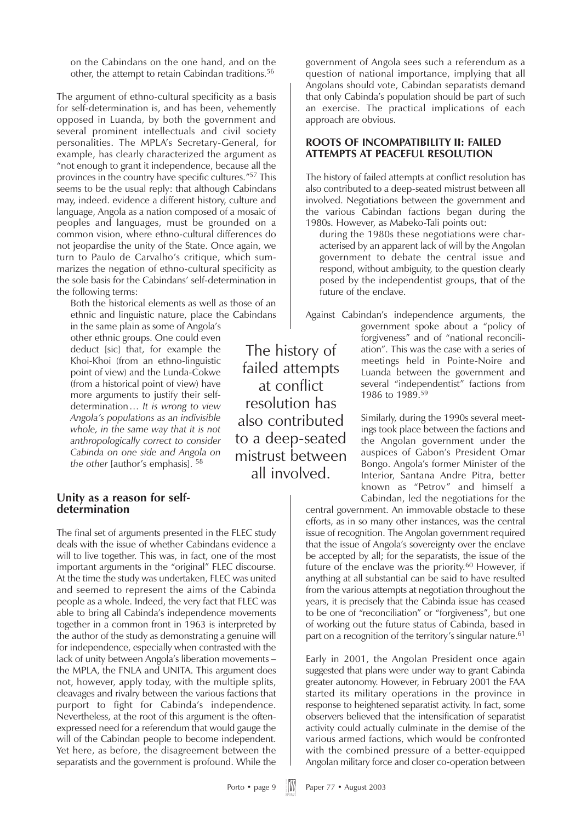on the Cabindans on the one hand, and on the other, the attempt to retain Cabindan traditions.56

The argument of ethno-cultural specificity as a basis for self-determination is, and has been, vehemently opposed in Luanda, by both the government and several prominent intellectuals and civil society personalities. The MPLA's Secretary-General, for example, has clearly characterized the argument as "not enough to grant it independence, because all the provinces in the country have specific cultures."57 This seems to be the usual reply: that although Cabindans may, indeed. evidence a different history, culture and language, Angola as a nation composed of a mosaic of peoples and languages, must be grounded on a common vision, where ethno-cultural differences do not jeopardise the unity of the State. Once again, we turn to Paulo de Carvalho's critique, which summarizes the negation of ethno-cultural specificity as the sole basis for the Cabindans' self-determination in the following terms:

Both the historical elements as well as those of an ethnic and linguistic nature, place the Cabindans

in the same plain as some of Angola's other ethnic groups. One could even deduct [sic] that, for example the Khoi-Khoi (from an ethno-linguistic point of view) and the Lunda-Cokwe (from a historical point of view) have more arguments to justify their selfdetermination… *It is wrong to view Angola's populations as an indivisible whole, in the same way that it is not anthropologically correct to consider Cabinda on one side and Angola on the other* [author's emphasis]. <sup>58</sup>

#### **Unity as a reason for selfdetermination**

The final set of arguments presented in the FLEC study deals with the issue of whether Cabindans evidence a will to live together. This was, in fact, one of the most important arguments in the "original" FLEC discourse. At the time the study was undertaken, FLEC was united and seemed to represent the aims of the Cabinda people as a whole. Indeed, the very fact that FLEC was able to bring all Cabinda's independence movements together in a common front in 1963 is interpreted by the author of the study as demonstrating a genuine will for independence, especially when contrasted with the lack of unity between Angola's liberation movements – the MPLA, the FNLA and UNITA. This argument does not, however, apply today, with the multiple splits, cleavages and rivalry between the various factions that purport to fight for Cabinda's independence. Nevertheless, at the root of this argument is the oftenexpressed need for a referendum that would gauge the will of the Cabindan people to become independent. Yet here, as before, the disagreement between the separatists and the government is profound. While the

The history of failed attempts at conflict resolution has also contributed to a deep-seated mistrust between all involved.

government of Angola sees such a referendum as a question of national importance, implying that all Angolans should vote, Cabindan separatists demand that only Cabinda's population should be part of such an exercise. The practical implications of each approach are obvious.

#### **ROOTS OF INCOMPATIBILITY II: FAILED ATTEMPTS AT PEACEFUL RESOLUTION**

The history of failed attempts at conflict resolution has also contributed to a deep-seated mistrust between all involved. Negotiations between the government and the various Cabindan factions began during the 1980s. However, as Mabeko-Tali points out:

during the 1980s these negotiations were characterised by an apparent lack of will by the Angolan government to debate the central issue and respond, without ambiguity, to the question clearly posed by the independentist groups, that of the future of the enclave.

Against Cabindan's independence arguments, the government spoke about a "policy of forgiveness" and of "national reconciliation". This was the case with a series of meetings held in Pointe-Noire and Luanda between the government and several "independentist" factions from 1986 to 1989.59

> Similarly, during the 1990s several meetings took place between the factions and the Angolan government under the auspices of Gabon's President Omar Bongo. Angola's former Minister of the Interior, Santana Andre Pitra, better known as "Petrov" and himself a Cabindan, led the negotiations for the

central government. An immovable obstacle to these efforts, as in so many other instances, was the central issue of recognition. The Angolan government required that the issue of Angola's sovereignty over the enclave be accepted by all; for the separatists, the issue of the future of the enclave was the priority.<sup>60</sup> However, if anything at all substantial can be said to have resulted from the various attempts at negotiation throughout the years, it is precisely that the Cabinda issue has ceased to be one of "reconciliation" or "forgiveness", but one of working out the future status of Cabinda, based in part on a recognition of the territory's singular nature.<sup>61</sup>

Early in 2001, the Angolan President once again suggested that plans were under way to grant Cabinda greater autonomy. However, in February 2001 the FAA started its military operations in the province in response to heightened separatist activity. In fact, some observers believed that the intensification of separatist activity could actually culminate in the demise of the various armed factions, which would be confronted with the combined pressure of a better-equipped Angolan military force and closer co-operation between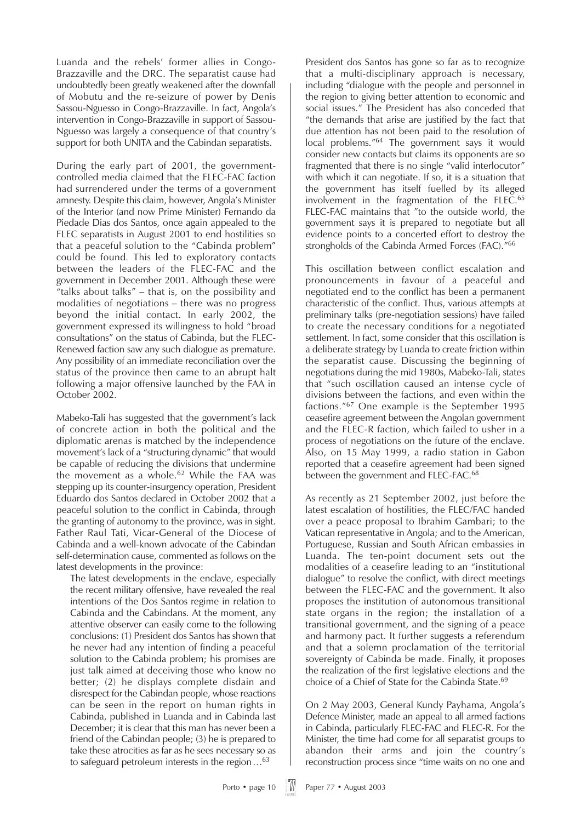Luanda and the rebels' former allies in Congo-Brazzaville and the DRC. The separatist cause had undoubtedly been greatly weakened after the downfall of Mobutu and the re-seizure of power by Denis Sassou-Nguesso in Congo-Brazzaville. In fact, Angola's intervention in Congo-Brazzaville in support of Sassou-Nguesso was largely a consequence of that country's support for both UNITA and the Cabindan separatists.

During the early part of 2001, the governmentcontrolled media claimed that the FLEC-FAC faction had surrendered under the terms of a government amnesty. Despite this claim, however, Angola's Minister of the Interior (and now Prime Minister) Fernando da Piedade Dias dos Santos, once again appealed to the FLEC separatists in August 2001 to end hostilities so that a peaceful solution to the "Cabinda problem" could be found*.* This led to exploratory contacts between the leaders of the FLEC-FAC and the government in December 2001. Although these were "talks about talks" – that is, on the possibility and modalities of negotiations – there was no progress beyond the initial contact. In early 2002, the government expressed its willingness to hold "broad consultations" on the status of Cabinda, but the FLEC-Renewed faction saw any such dialogue as premature. Any possibility of an immediate reconciliation over the status of the province then came to an abrupt halt following a major offensive launched by the FAA in October 2002.

Mabeko-Tali has suggested that the government's lack of concrete action in both the political and the diplomatic arenas is matched by the independence movement's lack of a "structuring dynamic" that would be capable of reducing the divisions that undermine the movement as a whole.<sup>62</sup> While the FAA was stepping up its counter-insurgency operation, President Eduardo dos Santos declared in October 2002 that a peaceful solution to the conflict in Cabinda, through the granting of autonomy to the province, was in sight. Father Raul Tati, Vicar-General of the Diocese of Cabinda and a well-known advocate of the Cabindan self-determination cause, commented as follows on the latest developments in the province:

The latest developments in the enclave, especially the recent military offensive, have revealed the real intentions of the Dos Santos regime in relation to Cabinda and the Cabindans. At the moment, any attentive observer can easily come to the following conclusions: (1) President dos Santos has shown that he never had any intention of finding a peaceful solution to the Cabinda problem; his promises are just talk aimed at deceiving those who know no better; (2) he displays complete disdain and disrespect for the Cabindan people, whose reactions can be seen in the report on human rights in Cabinda, published in Luanda and in Cabinda last December; it is clear that this man has never been a friend of the Cabindan people; (3) he is prepared to take these atrocities as far as he sees necessary so as to safeguard petroleum interests in the region…63

President dos Santos has gone so far as to recognize that a multi-disciplinary approach is necessary, including "dialogue with the people and personnel in the region to giving better attention to economic and social issues." The President has also conceded that "the demands that arise are justified by the fact that due attention has not been paid to the resolution of local problems."64 The government says it would consider new contacts but claims its opponents are so fragmented that there is no single "valid interlocutor" with which it can negotiate. If so, it is a situation that the government has itself fuelled by its alleged involvement in the fragmentation of the FLEC.<sup>65</sup> FLEC-FAC maintains that "to the outside world, the government says it is prepared to negotiate but all evidence points to a concerted effort to destroy the strongholds of the Cabinda Armed Forces (FAC)."66

This oscillation between conflict escalation and pronouncements in favour of a peaceful and negotiated end to the conflict has been a permanent characteristic of the conflict. Thus, various attempts at preliminary talks (pre-negotiation sessions) have failed to create the necessary conditions for a negotiated settlement. In fact, some consider that this oscillation is a deliberate strategy by Luanda to create friction within the separatist cause. Discussing the beginning of negotiations during the mid 1980s, Mabeko-Tali, states that "such oscillation caused an intense cycle of divisions between the factions, and even within the factions."<sup>67</sup> One example is the September 1995 ceasefire agreement between the Angolan government and the FLEC-R faction, which failed to usher in a process of negotiations on the future of the enclave. Also, on 15 May 1999, a radio station in Gabon reported that a ceasefire agreement had been signed between the government and FLEC-FAC.<sup>68</sup>

As recently as 21 September 2002, just before the latest escalation of hostilities, the FLEC/FAC handed over a peace proposal to Ibrahim Gambari; to the Vatican representative in Angola; and to the American, Portuguese, Russian and South African embassies in Luanda. The ten-point document sets out the modalities of a ceasefire leading to an "institutional dialogue" to resolve the conflict, with direct meetings between the FLEC-FAC and the government. It also proposes the institution of autonomous transitional state organs in the region; the installation of a transitional government, and the signing of a peace and harmony pact. It further suggests a referendum and that a solemn proclamation of the territorial sovereignty of Cabinda be made. Finally, it proposes the realization of the first legislative elections and the choice of a Chief of State for the Cabinda State.<sup>69</sup>

On 2 May 2003, General Kundy Payhama, Angola's Defence Minister, made an appeal to all armed factions in Cabinda, particularly FLEC-FAC and FLEC-R. For the Minister, the time had come for all separatist groups to abandon their arms and join the country's reconstruction process since "time waits on no one and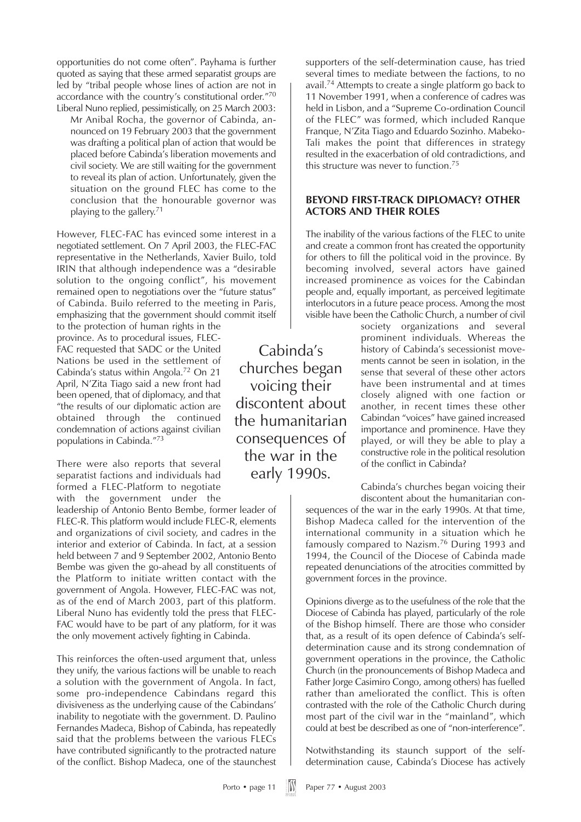opportunities do not come often". Payhama is further quoted as saying that these armed separatist groups are led by "tribal people whose lines of action are not in accordance with the country's constitutional order."70 Liberal Nuno replied, pessimistically, on 25 March 2003:

Mr Anibal Rocha, the governor of Cabinda, announced on 19 February 2003 that the government was drafting a political plan of action that would be placed before Cabinda's liberation movements and civil society. We are still waiting for the government to reveal its plan of action. Unfortunately, given the situation on the ground FLEC has come to the conclusion that the honourable governor was playing to the gallery.71

However, FLEC-FAC has evinced some interest in a negotiated settlement. On 7 April 2003, the FLEC-FAC representative in the Netherlands, Xavier Builo, told IRIN that although independence was a "desirable solution to the ongoing conflict", his movement remained open to negotiations over the "future status" of Cabinda. Builo referred to the meeting in Paris, emphasizing that the government should commit itself

to the protection of human rights in the province. As to procedural issues, FLEC-FAC requested that SADC or the United Nations be used in the settlement of Cabinda's status within Angola.72 On 21 April, N'Zita Tiago said a new front had been opened, that of diplomacy, and that "the results of our diplomatic action are obtained through the continued condemnation of actions against civilian populations in Cabinda."73

There were also reports that several separatist factions and individuals had formed a FLEC-Platform to negotiate with the government under the

leadership of Antonio Bento Bembe, former leader of FLEC-R. This platform would include FLEC-R, elements and organizations of civil society, and cadres in the interior and exterior of Cabinda. In fact, at a session held between 7 and 9 September 2002, Antonio Bento Bembe was given the go-ahead by all constituents of the Platform to initiate written contact with the government of Angola. However, FLEC-FAC was not, as of the end of March 2003, part of this platform. Liberal Nuno has evidently told the press that FLEC-FAC would have to be part of any platform, for it was the only movement actively fighting in Cabinda.

This reinforces the often-used argument that, unless they unify, the various factions will be unable to reach a solution with the government of Angola. In fact, some pro-independence Cabindans regard this divisiveness as the underlying cause of the Cabindans' inability to negotiate with the government. D. Paulino Fernandes Madeca, Bishop of Cabinda, has repeatedly said that the problems between the various FLECs have contributed significantly to the protracted nature of the conflict. Bishop Madeca, one of the staunchest

Cabinda's churches began voicing their discontent about the humanitarian consequences of the war in the early 1990s.

supporters of the self-determination cause, has tried several times to mediate between the factions, to no avail.74 Attempts to create a single platform go back to 11 November 1991, when a conference of cadres was held in Lisbon, and a "Supreme Co-ordination Council of the FLEC" was formed, which included Ranque Franque, N'Zita Tiago and Eduardo Sozinho. Mabeko-Tali makes the point that differences in strategy resulted in the exacerbation of old contradictions, and this structure was never to function.<sup>75</sup>

#### **BEYOND FIRST-TRACK DIPLOMACY? OTHER ACTORS AND THEIR ROLES**

The inability of the various factions of the FLEC to unite and create a common front has created the opportunity for others to fill the political void in the province. By becoming involved, several actors have gained increased prominence as voices for the Cabindan people and, equally important, as perceived legitimate interlocutors in a future peace process. Among the most visible have been the Catholic Church, a number of civil

> society organizations and several prominent individuals. Whereas the history of Cabinda's secessionist movements cannot be seen in isolation, in the sense that several of these other actors have been instrumental and at times closely aligned with one faction or another, in recent times these other Cabindan "voices" have gained increased importance and prominence. Have they played, or will they be able to play a constructive role in the political resolution of the conflict in Cabinda?

Cabinda's churches began voicing their

discontent about the humanitarian consequences of the war in the early 1990s. At that time, Bishop Madeca called for the intervention of the international community in a situation which he famously compared to Nazism.<sup>76</sup> During 1993 and 1994, the Council of the Diocese of Cabinda made repeated denunciations of the atrocities committed by government forces in the province.

Opinions diverge as to the usefulness of the role that the Diocese of Cabinda has played, particularly of the role of the Bishop himself. There are those who consider that, as a result of its open defence of Cabinda's selfdetermination cause and its strong condemnation of government operations in the province, the Catholic Church (in the pronouncements of Bishop Madeca and Father Jorge Casimiro Congo, among others) has fuelled rather than ameliorated the conflict. This is often contrasted with the role of the Catholic Church during most part of the civil war in the "mainland", which could at best be described as one of "non-interference".

Notwithstanding its staunch support of the selfdetermination cause, Cabinda's Diocese has actively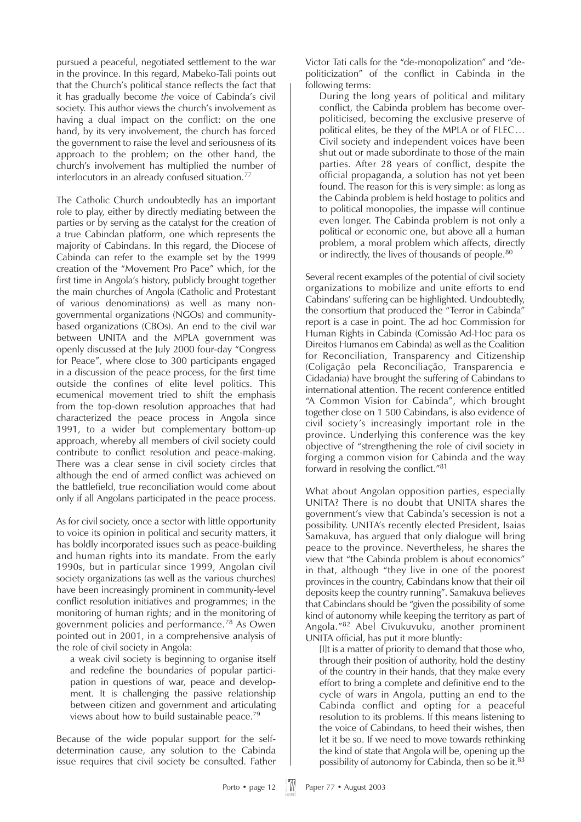pursued a peaceful, negotiated settlement to the war in the province. In this regard, Mabeko-Tali points out that the Church's political stance reflects the fact that it has gradually become *the* voice of Cabinda's civil society. This author views the church's involvement as having a dual impact on the conflict: on the one hand, by its very involvement, the church has forced the government to raise the level and seriousness of its approach to the problem; on the other hand, the church's involvement has multiplied the number of interlocutors in an already confused situation.77

The Catholic Church undoubtedly has an important role to play, either by directly mediating between the parties or by serving as the catalyst for the creation of a true Cabindan platform, one which represents the majority of Cabindans. In this regard, the Diocese of Cabinda can refer to the example set by the 1999 creation of the "Movement Pro Pace" which, for the first time in Angola's history, publicly brought together the main churches of Angola (Catholic and Protestant of various denominations) as well as many nongovernmental organizations (NGOs) and communitybased organizations (CBOs). An end to the civil war between UNITA and the MPLA government was openly discussed at the July 2000 four-day "Congress for Peace", where close to 300 participants engaged in a discussion of the peace process, for the first time outside the confines of elite level politics. This ecumenical movement tried to shift the emphasis from the top-down resolution approaches that had characterized the peace process in Angola since 1991, to a wider but complementary bottom-up approach, whereby all members of civil society could contribute to conflict resolution and peace-making. There was a clear sense in civil society circles that although the end of armed conflict was achieved on the battlefield, true reconciliation would come about only if all Angolans participated in the peace process.

As for civil society, once a sector with little opportunity to voice its opinion in political and security matters, it has boldly incorporated issues such as peace-building and human rights into its mandate. From the early 1990s, but in particular since 1999, Angolan civil society organizations (as well as the various churches) have been increasingly prominent in community-level conflict resolution initiatives and programmes; in the monitoring of human rights; and in the monitoring of government policies and performance.<sup>78</sup> As Owen pointed out in 2001, in a comprehensive analysis of the role of civil society in Angola:

a weak civil society is beginning to organise itself and redefine the boundaries of popular participation in questions of war, peace and development. It is challenging the passive relationship between citizen and government and articulating views about how to build sustainable peace.79

Because of the wide popular support for the selfdetermination cause, any solution to the Cabinda issue requires that civil society be consulted. Father

Victor Tati calls for the "de-monopolization" and "depoliticization" of the conflict in Cabinda in the following terms:

During the long years of political and military conflict, the Cabinda problem has become overpoliticised, becoming the exclusive preserve of political elites, be they of the MPLA or of FLEC… Civil society and independent voices have been shut out or made subordinate to those of the main parties. After 28 years of conflict, despite the official propaganda, a solution has not yet been found. The reason for this is very simple: as long as the Cabinda problem is held hostage to politics and to political monopolies, the impasse will continue even longer. The Cabinda problem is not only a political or economic one, but above all a human problem, a moral problem which affects, directly or indirectly, the lives of thousands of people.<sup>80</sup>

Several recent examples of the potential of civil society organizations to mobilize and unite efforts to end Cabindans' suffering can be highlighted. Undoubtedly, the consortium that produced the "Terror in Cabinda" report is a case in point. The ad hoc Commission for Human Rights in Cabinda (Comissão Ad-Hoc para os Direitos Humanos em Cabinda) as well as the Coalition for Reconciliation, Transparency and Citizenship (Coligação pela Reconciliação, Transparencia e Cidadania) have brought the suffering of Cabindans to international attention. The recent conference entitled "A Common Vision for Cabinda", which brought together close on 1 500 Cabindans, is also evidence of civil society's increasingly important role in the province. Underlying this conference was the key objective of "strengthening the role of civil society in forging a common vision for Cabinda and the way forward in resolving the conflict."81

What about Angolan opposition parties, especially UNITA? There is no doubt that UNITA shares the government's view that Cabinda's secession is not a possibility. UNITA's recently elected President, Isaias Samakuva, has argued that only dialogue will bring peace to the province. Nevertheless, he shares the view that "the Cabinda problem is about economics" in that, although "they live in one of the poorest provinces in the country, Cabindans know that their oil deposits keep the country running". Samakuva believes that Cabindans should be "given the possibility of some kind of autonomy while keeping the territory as part of Angola."<sup>82</sup> Abel Civukuvuku, another prominent UNITA official, has put it more bluntly:

[I]t is a matter of priority to demand that those who, through their position of authority, hold the destiny of the country in their hands, that they make every effort to bring a complete and definitive end to the cycle of wars in Angola, putting an end to the Cabinda conflict and opting for a peaceful resolution to its problems. If this means listening to the voice of Cabindans, to heed their wishes, then let it be so. If we need to move towards rethinking the kind of state that Angola will be, opening up the possibility of autonomy for Cabinda, then so be it.<sup>83</sup>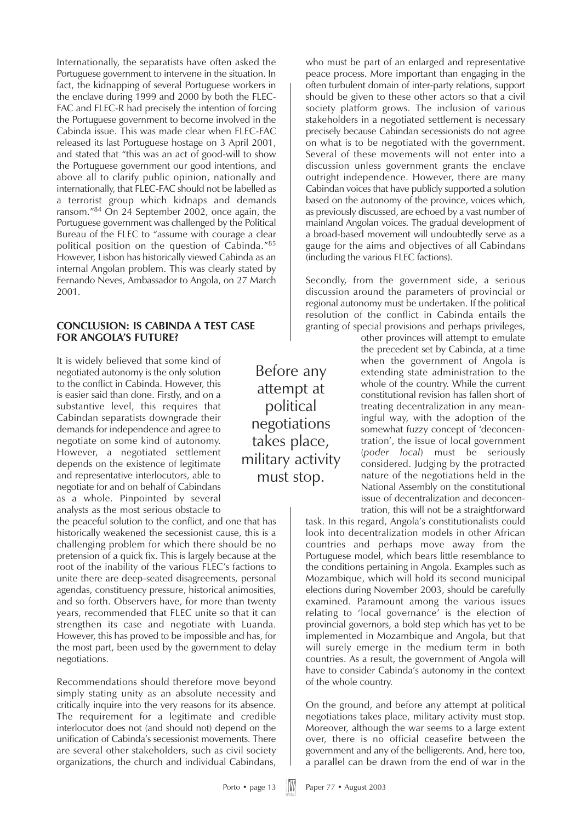Internationally, the separatists have often asked the Portuguese government to intervene in the situation. In fact, the kidnapping of several Portuguese workers in the enclave during 1999 and 2000 by both the FLEC-FAC and FLEC-R had precisely the intention of forcing the Portuguese government to become involved in the Cabinda issue. This was made clear when FLEC-FAC released its last Portuguese hostage on 3 April 2001, and stated that "this was an act of good-will to show the Portuguese government our good intentions, and above all to clarify public opinion, nationally and internationally, that FLEC-FAC should not be labelled as a terrorist group which kidnaps and demands ransom."<sup>84</sup> On 24 September 2002, once again, the Portuguese government was challenged by the Political Bureau of the FLEC to "assume with courage a clear political position on the question of Cabinda."85 However, Lisbon has historically viewed Cabinda as an internal Angolan problem. This was clearly stated by Fernando Neves, Ambassador to Angola, on 27 March 2001.

#### **CONCLUSION: IS CABINDA A TEST CASE FOR ANGOLA'S FUTURE?**

It is widely believed that some kind of negotiated autonomy is the only solution to the conflict in Cabinda. However, this is easier said than done. Firstly, and on a substantive level, this requires that Cabindan separatists downgrade their demands for independence and agree to negotiate on some kind of autonomy. However, a negotiated settlement depends on the existence of legitimate and representative interlocutors, able to negotiate for and on behalf of Cabindans as a whole. Pinpointed by several analysts as the most serious obstacle to

the peaceful solution to the conflict, and one that has historically weakened the secessionist cause, this is a challenging problem for which there should be no pretension of a quick fix. This is largely because at the root of the inability of the various FLEC's factions to unite there are deep-seated disagreements, personal agendas, constituency pressure, historical animosities, and so forth. Observers have, for more than twenty years, recommended that FLEC unite so that it can strengthen its case and negotiate with Luanda. However, this has proved to be impossible and has, for the most part, been used by the government to delay negotiations.

Recommendations should therefore move beyond simply stating unity as an absolute necessity and critically inquire into the very reasons for its absence. The requirement for a legitimate and credible interlocutor does not (and should not) depend on the unification of Cabinda's secessionist movements. There are several other stakeholders, such as civil society organizations, the church and individual Cabindans,

Before any attempt at political negotiations takes place, military activity must stop.

who must be part of an enlarged and representative peace process. More important than engaging in the often turbulent domain of inter-party relations, support should be given to these other actors so that a civil society platform grows. The inclusion of various stakeholders in a negotiated settlement is necessary precisely because Cabindan secessionists do not agree on what is to be negotiated with the government. Several of these movements will not enter into a discussion unless government grants the enclave outright independence. However, there are many Cabindan voices that have publicly supported a solution based on the autonomy of the province, voices which, as previously discussed, are echoed by a vast number of mainland Angolan voices. The gradual development of a broad-based movement will undoubtedly serve as a gauge for the aims and objectives of all Cabindans (including the various FLEC factions).

Secondly, from the government side, a serious discussion around the parameters of provincial or regional autonomy must be undertaken. If the political resolution of the conflict in Cabinda entails the granting of special provisions and perhaps privileges,

other provinces will attempt to emulate the precedent set by Cabinda, at a time when the government of Angola is extending state administration to the whole of the country. While the current constitutional revision has fallen short of treating decentralization in any meaningful way, with the adoption of the somewhat fuzzy concept of 'deconcentration', the issue of local government (*poder local*) must be seriously considered. Judging by the protracted nature of the negotiations held in the National Assembly on the constitutional issue of decentralization and deconcentration, this will not be a straightforward

task. In this regard, Angola's constitutionalists could look into decentralization models in other African countries and perhaps move away from the Portuguese model, which bears little resemblance to the conditions pertaining in Angola. Examples such as Mozambique, which will hold its second municipal elections during November 2003, should be carefully examined. Paramount among the various issues relating to 'local governance' is the election of provincial governors, a bold step which has yet to be implemented in Mozambique and Angola, but that will surely emerge in the medium term in both countries. As a result, the government of Angola will have to consider Cabinda's autonomy in the context of the whole country.

On the ground, and before any attempt at political negotiations takes place, military activity must stop. Moreover, although the war seems to a large extent over, there is no official ceasefire between the government and any of the belligerents. And, here too, a parallel can be drawn from the end of war in the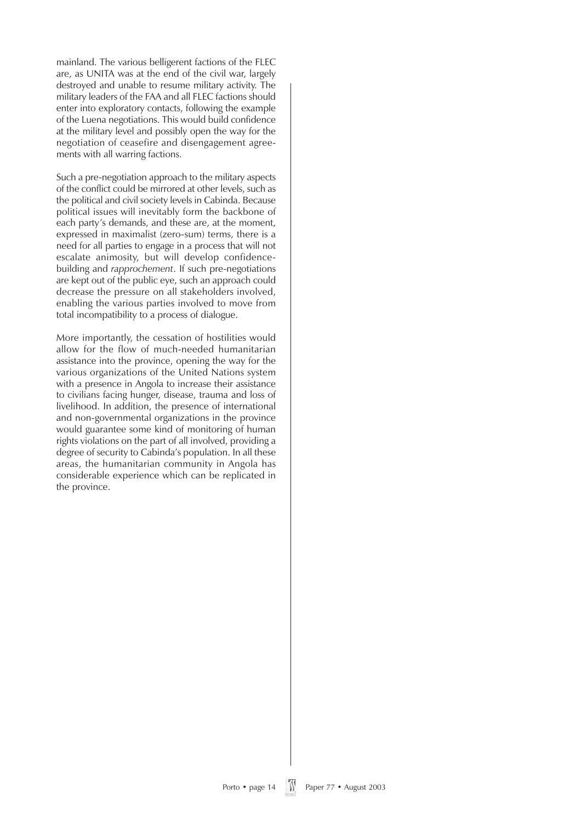mainland. The various belligerent factions of the FLEC are, as UNITA was at the end of the civil war, largely destroyed and unable to resume military activity. The military leaders of the FAA and all FLEC factions should enter into exploratory contacts, following the example of the Luena negotiations. This would build confidence at the military level and possibly open the way for the negotiation of ceasefire and disengagement agreements with all warring factions.

Such a pre-negotiation approach to the military aspects of the conflict could be mirrored at other levels, such as the political and civil society levels in Cabinda. Because political issues will inevitably form the backbone of each party's demands, and these are, at the moment, expressed in maximalist (zero-sum) terms, there is a need for all parties to engage in a process that will not escalate animosity, but will develop confidencebuilding and *rapprochement*. If such pre-negotiations are kept out of the public eye, such an approach could decrease the pressure on all stakeholders involved, enabling the various parties involved to move from total incompatibility to a process of dialogue.

More importantly, the cessation of hostilities would allow for the flow of much-needed humanitarian assistance into the province, opening the way for the various organizations of the United Nations system with a presence in Angola to increase their assistance to civilians facing hunger, disease, trauma and loss of livelihood. In addition, the presence of international and non-governmental organizations in the province would guarantee some kind of monitoring of human rights violations on the part of all involved, providing a degree of security to Cabinda's population. In all these areas, the humanitarian community in Angola has considerable experience which can be replicated in the province.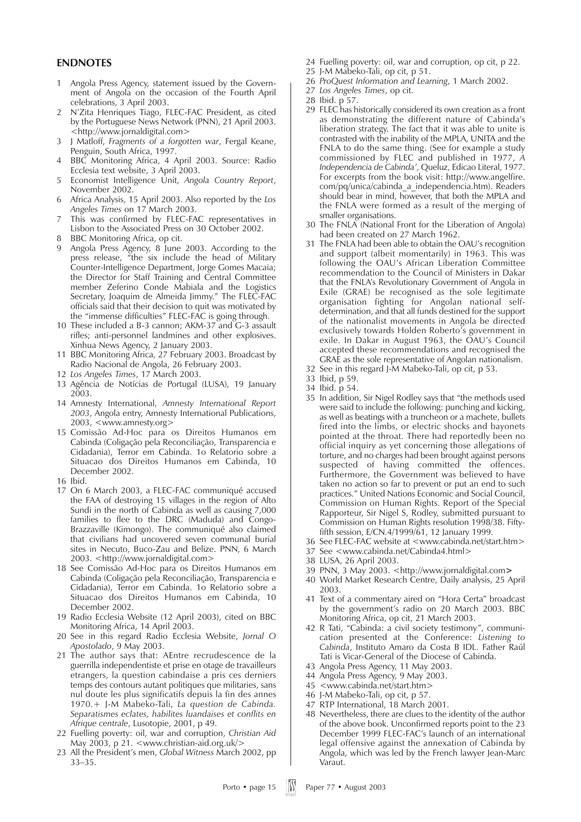#### **ENDNOTES**

- 1 Angola Press Agency, statement issued by the Government of Angola on the occasion of the Fourth April celebrations, 3 April 2003.
- 2 N'Zita Henriques Tiago, FLEC-FAC President, as cited by the Portuguese News Network (PNN), 21 April 2003. <http://www.jornaldigital.com>
- 3 J Matloff, *Fragments of a forgotten war*, Fergal Keane, Penguin, South Africa, 1997.
- 4 BBC Monitoring Africa, 4 April 2003. Source: Radio Ecclesia text website, 3 April 2003.
- 5 Economist Intelligence Unit, *Angola Country Report*, November 2002.
- 6 Africa Analysis, 15 April 2003. Also reported by the *Los Angeles Times* on 17 March 2003.
- 7 This was confirmed by FLEC-FAC representatives in Lisbon to the Associated Press on 30 October 2002.
- 8 BBC Monitoring Africa, op cit.
- 9 Angola Press Agency, 8 June 2003. According to the press release, "the six include the head of Military Counter-Intelligence Department, Jorge Gomes Macaia; the Director for Staff Training and Central Committee member Zeferino Conde Mabiala and the Logistics Secretary, Joaquim de Almeida Jimmy." The FLEC-FAC officials said that their decision to quit was motivated by the "immense difficulties" FLEC-FAC is going through.
- 10 These included a B-3 cannon; AKM-37 and G-3 assault rifles; anti-personnel landmines and other explosives. Xinhua News Agency, 2 January 2003.
- 11 BBC Monitoring Africa, 27 February 2003. Broadcast by Radio Nacional de Angola, 26 February 2003.
- 12 *Los Angeles Times*, 17 March 2003.
- 13 Agência de Notícias de Portugal (LUSA), 19 January 2003.
- 14 Amnesty International, *Amnesty International Report 2003*, Angola entry, Amnesty International Publications, 2003, <www.amnesty.org>
- 15 Comissão Ad-Hoc para os Direitos Humanos em Cabinda (Coligação pela Reconciliação, Transparencia e Cidadania), Terror em Cabinda. 1o Relatorio sobre a Situacao dos Direitos Humanos em Cabinda, 10 December 2002.
- 16 Ibid.
- 17 On 6 March 2003, a FLEC-FAC communiqué accused the FAA of destroying 15 villages in the region of Alto Sundi in the north of Cabinda as well as causing 7,000 families to flee to the DRC (Maduda) and Congo-Brazzaville (Kimongo). The communiqué also claimed that civilians had uncovered seven communal burial sites in Necuto, Buco-Zau and Belize. PNN, 6 March 2003. <http://www.jornaldigital.com>
- 18 See Comissão Ad-Hoc para os Direitos Humanos em Cabinda (Coligação pela Reconciliação, Transparencia e Cidadania), Terror em Cabinda. 1o Relatorio sobre a Situacao dos Direitos Humanos em Cabinda, 10 December 2002.
- 19 Radio Ecclesia Website (12 April 2003), cited on BBC Monitoring Africa, 14 April 2003.
- 20 See in this regard Radio Ecclesia Website, *Jornal O Apostolado*, 9 May 2003.
- 21 The author says that: AEntre recrudescence de la guerrilla independentiste et prise en otage de travailleurs etrangers, la question cabindaise a pris ces derniers temps des contours autant politiques que militaries, sans nul doute les plus significatifs depuis la fin des annes 1970.+ J-M Mabeko-Tali, *La question de Cabinda. Separatismes eclates, habilites luandaises et conflits en Afrique centrale*, Lusotopie, 2001, p 49.
- 22 Fuelling poverty: oil, war and corruption, *Christian Aid* May 2003, p 21. <www.christian-aid.org.uk/>
- 23 All the President's men, *Global Witness* March 2002, pp 33–35.
- 24 Fuelling poverty: oil, war and corruption, op cit, p 22.
- 25 J-M Mabeko-Tali, op cit, p 51.
- 26 *ProQuest Information and Learning*, 1 March 2002.
- 27 *Los Angeles Times*, op cit.
- 28 Ibid. p 57.
- 29 FLEC has historically considered its own creation as a front as demonstrating the different nature of Cabinda's liberation strategy. The fact that it was able to unite is contrasted with the inability of the MPLA, UNITA and the FNLA to do the same thing. (See for example a study commissioned by FLEC and published in 1977, *A Independencia de Cabinda'*, Queluz, Edicao Literal, 1977. For excerpts from the book visit: http://www.angelfire. com/pq/unica/cabinda\_a\_independencia.htm). Readers should bear in mind, however, that both the MPLA and the FNLA were formed as a result of the merging of smaller organisations.
- 30 The FNLA (National Front for the Liberation of Angola) had been created on 27 March 1962.
- 31 The FNLA had been able to obtain the OAU's recognition and support (albeit momentarily) in 1963. This was following the OAU's African Liberation Committee recommendation to the Council of Ministers in Dakar that the FNLA's Revolutionary Government of Angola in Exile (GRAE) be recognised as the sole legitimate organisation fighting for Angolan national selfdetermination, and that all funds destined for the support of the nationalist movements in Angola be directed exclusively towards Holden Roberto's government in exile. In Dakar in August 1963, the OAU's Council accepted these recommendations and recognised the GRAE as the sole representative of Angolan nationalism.
- 32 See in this regard J-M Mabeko-Tali, op cit, p 53.
- 33 Ibid, p 59.
- 34 Ibid. p 54.
- 35 In addition, Sir Nigel Rodley says that "the methods used were said to include the following: punching and kicking, as well as beatings with a truncheon or a machete, bullets fired into the limbs, or electric shocks and bayonets pointed at the throat. There had reportedly been no official inquiry as yet concerning those allegations of torture, and no charges had been brought against persons suspected of having committed the offences. Furthermore, the Government was believed to have taken no action so far to prevent or put an end to such practices." United Nations Economic and Social Council, Commission on Human Rights. Report of the Special Rapporteur, Sir Nigel S, Rodley, submitted pursuant to Commission on Human Rights resolution 1998/38. Fiftyfifth session, E/CN.4/1999/61, 12 January 1999.
- 36 See FLEC-FAC website at <www.cabinda.net/start.htm>
- 37 See <www.cabinda.net/Cabinda4.html>
- 38 LUSA, 26 April 2003.
- 39 PNN, 3 May 2003. <http://www.jornaldigital.com**>**
- 40 World Market Research Centre, Daily analysis, 25 April 2003.
- 41 Text of a commentary aired on "Hora Certa" broadcast by the government's radio on 20 March 2003. BBC Monitoring Africa, op cit, 21 March 2003.
- 42 R Tati, "Cabinda: a civil society testimony", communication presented at the Conference: *Listening to Cabinda*, Instituto Amaro da Costa B IDL. Father Raúl Tati is Vicar-General of the Diocese of Cabinda.
- 43 Angola Press Agency, 11 May 2003.
- 44 Angola Press Agency, 9 May 2003.
- 45 <www.cabinda.net/start.htm>
- 46 J-M Mabeko-Tali, op cit, p 57.
- 47 RTP International, 18 March 2001.
- 48 Nevertheless, there are clues to the identity of the author of the above book. Unconfirmed reports point to the 23 December 1999 FLEC-FAC's launch of an international legal offensive against the annexation of Cabinda by Angola, which was led by the French lawyer Jean-Marc Varaut.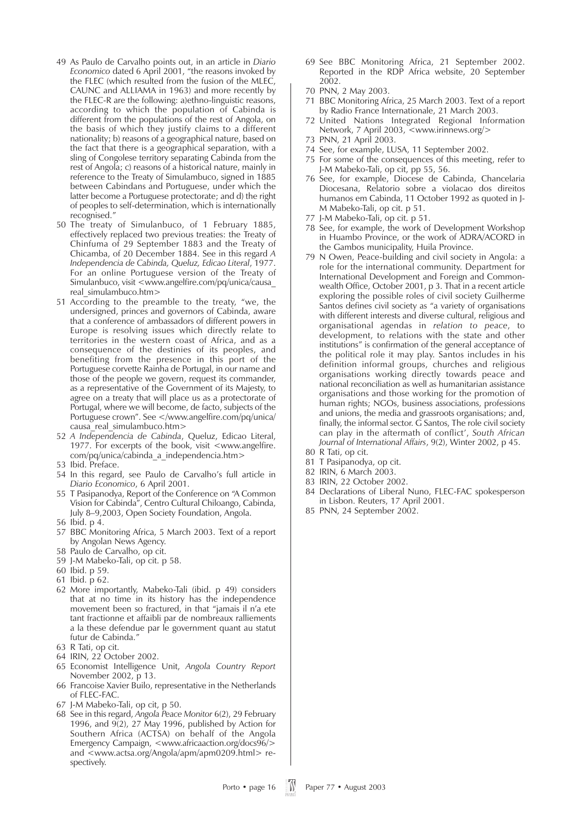- 49 As Paulo de Carvalho points out, in an article in *Diario Economico* dated 6 April 2001, "the reasons invoked by the FLEC (which resulted from the fusion of the MLEC, CAUNC and ALLIAMA in 1963) and more recently by the FLEC-R are the following: a)ethno-linguistic reasons, according to which the population of Cabinda is different from the populations of the rest of Angola, on the basis of which they justify claims to a different nationality; b) reasons of a geographical nature, based on the fact that there is a geographical separation, with a sling of Congolese territory separating Cabinda from the rest of Angola; c) reasons of a historical nature, mainly in reference to the Treaty of Simulambuco, signed in 1885 between Cabindans and Portuguese, under which the latter become a Portuguese protectorate; and d) the right of peoples to self-determination, which is internationally recognised."
- 50 The treaty of Simulanbuco, of 1 February 1885, effectively replaced two previous treaties: the Treaty of Chinfuma of 29 September 1883 and the Treaty of Chicamba, of 20 December 1884. See in this regard *A Independencia de Cabinda, Queluz, Edicao Literal*, 1977. For an online Portuguese version of the Treaty of Simulanbuco, visit <www.angelfire.com/pq/unica/causa real\_simulambuco.htm>
- 51 According to the preamble to the treaty, "we, the undersigned, princes and governors of Cabinda, aware that a conference of ambassadors of different powers in Europe is resolving issues which directly relate to territories in the western coast of Africa, and as a consequence of the destinies of its peoples, and benefiting from the presence in this port of the Portuguese corvette Rainha de Portugal, in our name and those of the people we govern, request its commander, as a representative of the Government of its Majesty, to agree on a treaty that will place us as a protectorate of Portugal, where we will become, de facto, subjects of the Portuguese crown". See </www.angelfire.com/pq/unica/ causa\_real\_simulambuco.htm>
- 52 *A Independencia de Cabinda*, Queluz, Edicao Literal, 1977. For excerpts of the book, visit <www.angelfire. com/pq/unica/cabinda\_a\_independencia.htm>
- 53 Ibid. Preface.
- 54 In this regard, see Paulo de Carvalho's full article in *Diario Economico*, 6 April 2001.
- 55 T Pasipanodya, Report of the Conference on "A Common Vision for Cabinda", Centro Cultural Chiloango, Cabinda, July 8–9,2003, Open Society Foundation, Angola.
- 56 Ibid. p 4.
- 57 BBC Monitoring Africa, 5 March 2003. Text of a report by Angolan News Agency.
- 58 Paulo de Carvalho, op cit.
- 59 J-M Mabeko-Tali, op cit. p 58.
- 60 Ibid. p 59.
- 61 Ibid. p 62.
- 62 More importantly, Mabeko-Tali (ibid. p 49) considers that at no time in its history has the independence movement been so fractured, in that "jamais il n'a ete tant fractionne et affaibli par de nombreaux ralliements a la these defendue par le government quant au statut futur de Cabinda."
- 63 R Tati, op cit.
- 64 IRIN, 22 October 2002.
- 65 Economist Intelligence Unit, *Angola Country Report* November 2002, p 13.
- 66 Francoise Xavier Builo, representative in the Netherlands of FLEC-FAC.
- 67 J-M Mabeko-Tali, op cit, p 50.
- 68 See in this regard, *Angola Peace Monitor* 6(2), 29 February 1996, and  $9(2)$ , 27 May 1996, published by Action for Southern Africa (ACTSA) on behalf of the Angola Emergency Campaign, <www.africaaction.org/docs96/> and <www.actsa.org/Angola/apm/apm0209.html> respectively.
- 69 See BBC Monitoring Africa, 21 September 2002. Reported in the RDP Africa website, 20 September 2002.
- 70 PNN, 2 May 2003.
- 71 BBC Monitoring Africa, 25 March 2003. Text of a report by Radio France Internationale, 21 March 2003.
- 72 United Nations Integrated Regional Information Network, 7 April 2003, <www.irinnews.org/>
- 73 PNN, 21 April 2003.
- 74 See, for example, LUSA, 11 September 2002.
- 75 For some of the consequences of this meeting, refer to J-M Mabeko-Tali, op cit, pp 55, 56.
- 76 See, for example, Diocese de Cabinda, Chancelaria Diocesana, Relatorio sobre a violacao dos direitos humanos em Cabinda, 11 October 1992 as quoted in J-M Mabeko-Tali, op cit. p 51.
- 77 J-M Mabeko-Tali, op cit. p 51.
- 78 See, for example, the work of Development Workshop in Huambo Province, or the work of ADRA/ACORD in the Gambos municipality, Huila Province.
- 79 N Owen, Peace-building and civil society in Angola: a role for the international community. Department for International Development and Foreign and Commonwealth Office, October 2001, p 3. That in a recent article exploring the possible roles of civil society Guilherme Santos defines civil society as "a variety of organisations with different interests and diverse cultural, religious and organisational agendas in *relation to peace*, to development, to relations with the state and other institutions" is confirmation of the general acceptance of the political role it may play. Santos includes in his definition informal groups, churches and religious organisations working directly towards peace and national reconciliation as well as humanitarian assistance organisations and those working for the promotion of human rights; NGOs, business associations, professions and unions, the media and grassroots organisations; and, finally, the informal sector. G Santos, The role civil society can play in the aftermath of conflict', *South African Journal of International Affairs*, 9(2), Winter 2002, p 45.
- 80 R Tati, op cit.
- 81 T Pasipanodya, op cit.
- 82 IRIN, 6 March 2003.
- 83 IRIN, 22 October 2002.
- 84 Declarations of Liberal Nuno, FLEC-FAC spokesperson in Lisbon. Reuters, 17 April 2001.
- 85 PNN, 24 September 2002.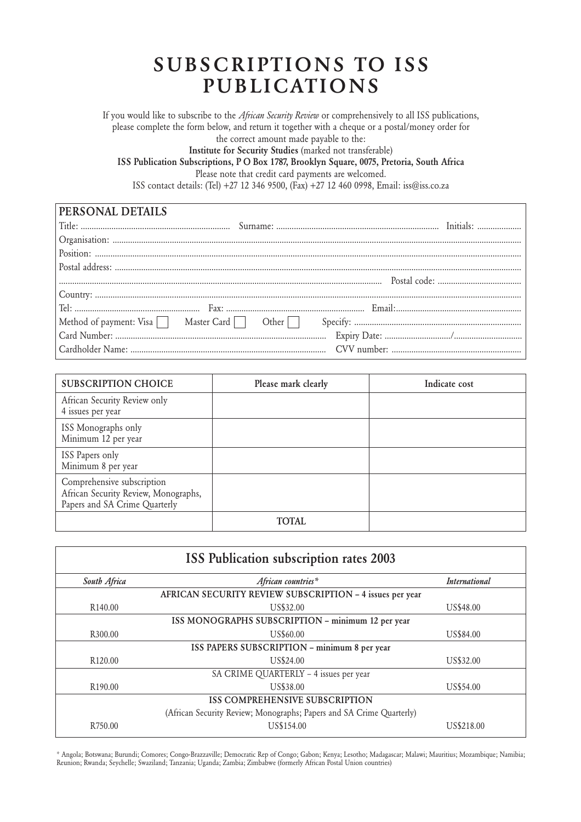### **SUBSCRIPTIONS TO ISS PUBLICATIONS**

If you would like to subscribe to the *African Security Review* or comprehensively to all ISS publications, please complete the form below, and return it together with a cheque or a postal/money order for the correct amount made payable to the:

**Institute for Security Studies** (marked not transferable)

**ISS Publication Subscriptions, P O Box 1787, Brooklyn Square, 0075, Pretoria, South Africa**

Please note that credit card payments are welcomed.

ISS contact details: (Tel) +27 12 346 9500, (Fax) +27 12 460 0998, Email: iss@iss.co.za

| PERSONAL DETAILS |  |
|------------------|--|
|                  |  |
|                  |  |
|                  |  |
|                  |  |
|                  |  |
|                  |  |
|                  |  |
|                  |  |
|                  |  |
|                  |  |

| <b>SUBSCRIPTION CHOICE</b>                                                                          | Please mark clearly | Indicate cost |
|-----------------------------------------------------------------------------------------------------|---------------------|---------------|
| African Security Review only<br>4 issues per year                                                   |                     |               |
| ISS Monographs only<br>Minimum 12 per year                                                          |                     |               |
| ISS Papers only<br>Minimum 8 per year                                                               |                     |               |
| Comprehensive subscription<br>African Security Review, Monographs,<br>Papers and SA Crime Quarterly |                     |               |
|                                                                                                     | TOTAL.              |               |

| <b>ISS Publication subscription rates 2003</b>    |                                                                      |                      |  |  |
|---------------------------------------------------|----------------------------------------------------------------------|----------------------|--|--|
| South Africa                                      | African countries*                                                   | <b>International</b> |  |  |
|                                                   | AFRICAN SECURITY REVIEW SUBSCRIPTION - 4 issues per year             |                      |  |  |
| R <sub>140.00</sub>                               | US\$32.00                                                            | <b>US\$48.00</b>     |  |  |
| ISS MONOGRAPHS SUBSCRIPTION - minimum 12 per year |                                                                      |                      |  |  |
| R <sub>300.00</sub>                               | US\$60.00                                                            | US\$84.00            |  |  |
| ISS PAPERS SUBSCRIPTION - minimum 8 per year      |                                                                      |                      |  |  |
| R <sub>120.00</sub>                               | US\$24.00                                                            | US\$32.00            |  |  |
|                                                   | SA CRIME QUARTERLY - 4 issues per year                               |                      |  |  |
| R <sub>190.00</sub>                               | US\$38.00                                                            | US\$54.00            |  |  |
| <b>ISS COMPREHENSIVE SUBSCRIPTION</b>             |                                                                      |                      |  |  |
|                                                   | (African Security Review; Monographs; Papers and SA Crime Quarterly) |                      |  |  |
| R <sub>750.00</sub>                               | US\$154.00                                                           | US\$218.00           |  |  |

\* Angola; Botswana; Burundi; Comores; Congo-Brazzaville; Democratic Rep of Congo; Gabon; Kenya; Lesotho; Madagascar; Malawi; Mauritius; Mozambique; Namibia; Reunion; Rwanda; Seychelle; Swaziland; Tanzania; Uganda; Zambia; Zimbabwe (formerly African Postal Union countries)